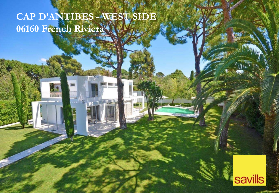## **CAP D'ANTIBES - WEST SIDE 06160 French Riviera**

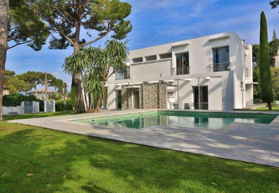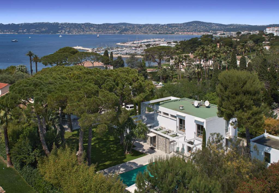